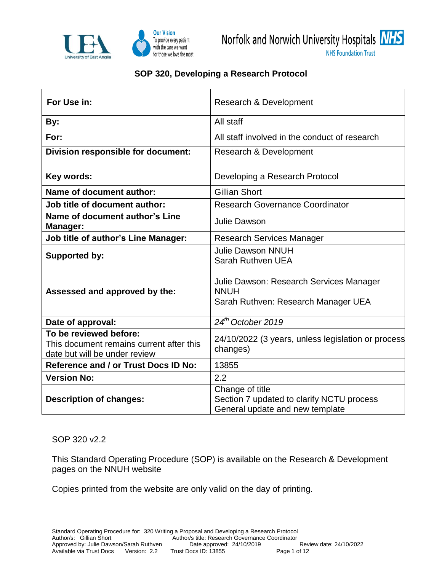

## **SOP 320, Developing a Research Protocol**

| For Use in:                                                                                         | Research & Development                                                                          |  |  |  |
|-----------------------------------------------------------------------------------------------------|-------------------------------------------------------------------------------------------------|--|--|--|
| By:                                                                                                 | All staff                                                                                       |  |  |  |
| For:                                                                                                | All staff involved in the conduct of research                                                   |  |  |  |
| Division responsible for document:                                                                  | Research & Development                                                                          |  |  |  |
| Key words:                                                                                          | Developing a Research Protocol                                                                  |  |  |  |
| Name of document author:                                                                            | <b>Gillian Short</b>                                                                            |  |  |  |
| Job title of document author:                                                                       | <b>Research Governance Coordinator</b>                                                          |  |  |  |
| Name of document author's Line<br>Manager:                                                          | <b>Julie Dawson</b>                                                                             |  |  |  |
| <b>Job title of author's Line Manager:</b>                                                          | <b>Research Services Manager</b>                                                                |  |  |  |
| <b>Supported by:</b>                                                                                | <b>Julie Dawson NNUH</b><br>Sarah Ruthven UEA                                                   |  |  |  |
| Assessed and approved by the:                                                                       | Julie Dawson: Research Services Manager<br><b>NNUH</b><br>Sarah Ruthven: Research Manager UEA   |  |  |  |
| Date of approval:                                                                                   | 24 <sup>th</sup> October 2019                                                                   |  |  |  |
| To be reviewed before:<br>This document remains current after this<br>date but will be under review | 24/10/2022 (3 years, unless legislation or process<br>changes)                                  |  |  |  |
| <b>Reference and / or Trust Docs ID No:</b>                                                         | 13855                                                                                           |  |  |  |
| <b>Version No:</b>                                                                                  | 2.2                                                                                             |  |  |  |
| <b>Description of changes:</b>                                                                      | Change of title<br>Section 7 updated to clarify NCTU process<br>General update and new template |  |  |  |

SOP 320 v2.2

This Standard Operating Procedure (SOP) is available on the Research & Development pages on the NNUH website

Copies printed from the website are only valid on the day of printing.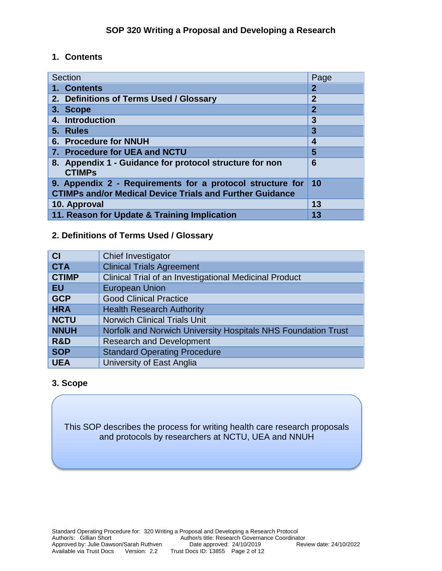## **1. Contents**

| Section                                                                                                                         | Page           |
|---------------------------------------------------------------------------------------------------------------------------------|----------------|
| 1. Contents                                                                                                                     | $\overline{2}$ |
| 2. Definitions of Terms Used / Glossary                                                                                         | $\overline{2}$ |
| 3. Scope                                                                                                                        | $\overline{2}$ |
| 4. Introduction                                                                                                                 | 3              |
| 5. Rules                                                                                                                        | 3              |
| 6. Procedure for NNUH                                                                                                           | 4              |
| 7. Procedure for UEA and NCTU                                                                                                   | 5              |
| 8. Appendix 1 - Guidance for protocol structure for non<br><b>CTIMPs</b>                                                        | 6              |
| 9. Appendix 2 - Requirements for a protocol structure for 10<br><b>CTIMPs and/or Medical Device Trials and Further Guidance</b> |                |
| 10. Approval                                                                                                                    | 13             |
| 11. Reason for Update & Training Implication                                                                                    | 13             |

# **2. Definitions of Terms Used / Glossary**

| <b>CI</b>    | Chief Investigator                                            |  |  |
|--------------|---------------------------------------------------------------|--|--|
| <b>CTA</b>   | <b>Clinical Trials Agreement</b>                              |  |  |
| <b>CTIMP</b> | Clinical Trial of an Investigational Medicinal Product        |  |  |
| <b>EU</b>    | <b>European Union</b>                                         |  |  |
| <b>GCP</b>   | <b>Good Clinical Practice</b>                                 |  |  |
| <b>HRA</b>   | <b>Health Research Authority</b>                              |  |  |
| <b>NCTU</b>  | <b>Norwich Clinical Trials Unit</b>                           |  |  |
| <b>NNUH</b>  | Norfolk and Norwich University Hospitals NHS Foundation Trust |  |  |
| R&D          | <b>Research and Development</b>                               |  |  |
| <b>SOP</b>   | <b>Standard Operating Procedure</b>                           |  |  |
| <b>UEA</b>   | University of East Anglia                                     |  |  |

## **3. Scope**

This SOP describes the process for writing health care research proposals and protocols by researchers at NCTU, UEA and NNUH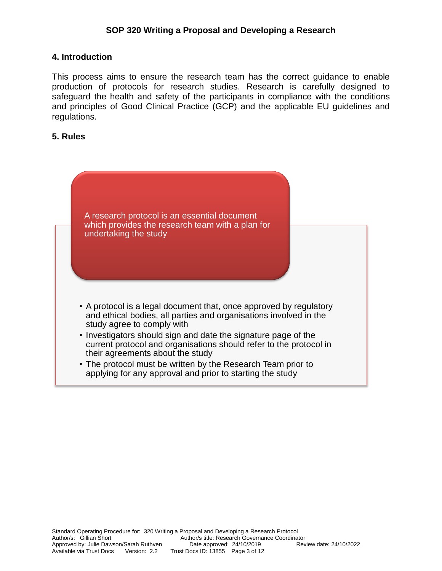#### **4. Introduction**

This process aims to ensure the research team has the correct guidance to enable production of protocols for research studies. Research is carefully designed to safeguard the health and safety of the participants in compliance with the conditions and principles of Good Clinical Practice (GCP) and the applicable EU guidelines and regulations.

#### **5. Rules**

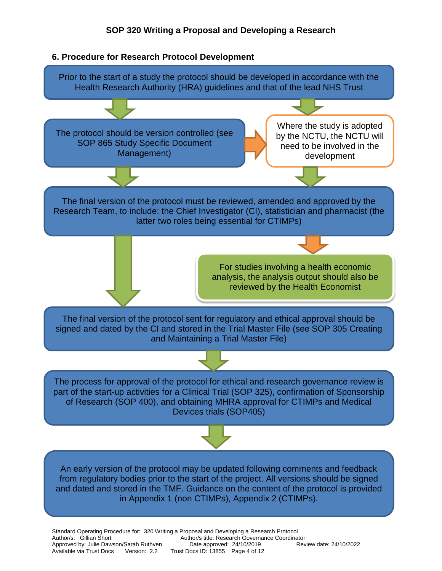

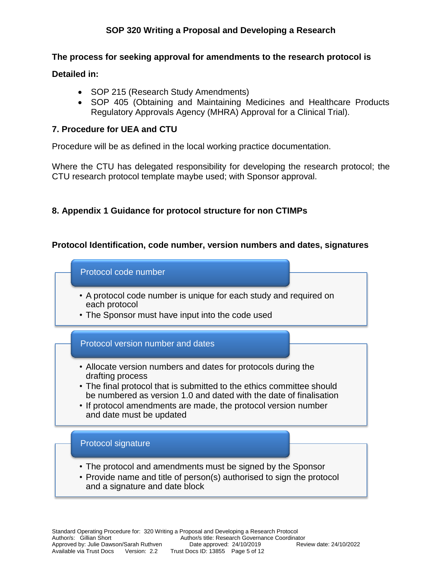### **The process for seeking approval for amendments to the research protocol is**

**Detailed in:**

- SOP 215 (Research Study Amendments)
- SOP 405 (Obtaining and Maintaining Medicines and Healthcare Products Regulatory Approvals Agency (MHRA) Approval for a Clinical Trial).

## **7. Procedure for UEA and CTU**

Procedure will be as defined in the local working practice documentation.

Where the CTU has delegated responsibility for developing the research protocol; the CTU research protocol template maybe used; with Sponsor approval.

## **8. Appendix 1 Guidance for protocol structure for non CTIMPs**

## **Protocol Identification, code number, version numbers and dates, signatures**

Protocol code number

- A protocol code number is unique for each study and required on each protocol
- The Sponsor must have input into the code used

#### Protocol version number and dates

- Allocate version numbers and dates for protocols during the drafting process
- The final protocol that is submitted to the ethics committee should be numbered as version 1.0 and dated with the date of finalisation
- If protocol amendments are made, the protocol version number and date must be updated

#### Protocol signature

- The protocol and amendments must be signed by the Sponsor
- Provide name and title of person(s) authorised to sign the protocol and a signature and date block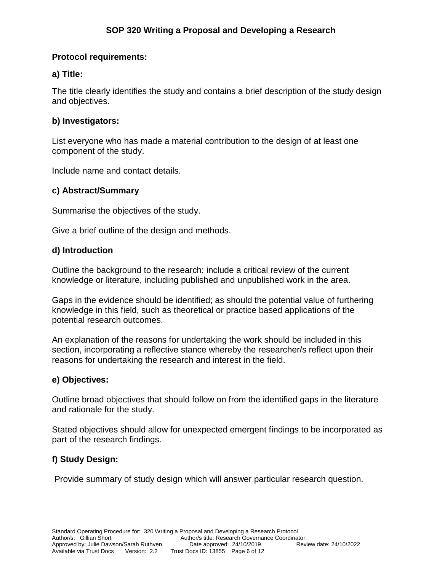## **Protocol requirements:**

## **a) Title:**

The title clearly identifies the study and contains a brief description of the study design and objectives.

## **b) Investigators:**

List everyone who has made a material contribution to the design of at least one component of the study.

Include name and contact details.

## **c) Abstract/Summary**

Summarise the objectives of the study.

Give a brief outline of the design and methods.

## **d) Introduction**

Outline the background to the research; include a critical review of the current knowledge or literature, including published and unpublished work in the area.

Gaps in the evidence should be identified; as should the potential value of furthering knowledge in this field, such as theoretical or practice based applications of the potential research outcomes.

An explanation of the reasons for undertaking the work should be included in this section, incorporating a reflective stance whereby the researcher/s reflect upon their reasons for undertaking the research and interest in the field.

## **e) Objectives:**

Outline broad objectives that should follow on from the identified gaps in the literature and rationale for the study.

Stated objectives should allow for unexpected emergent findings to be incorporated as part of the research findings.

## **f) Study Design:**

Provide summary of study design which will answer particular research question.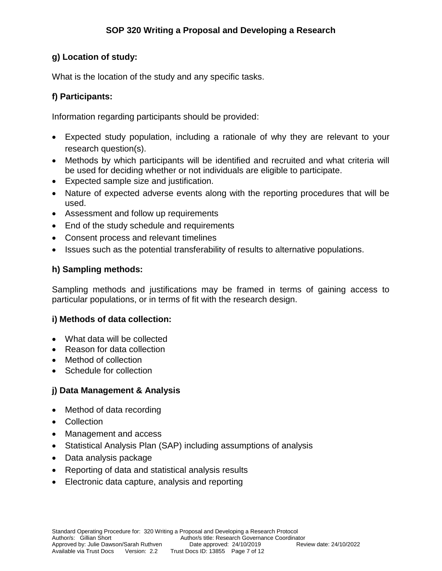## **g) Location of study:**

What is the location of the study and any specific tasks.

## **f) Participants:**

Information regarding participants should be provided:

- Expected study population, including a rationale of why they are relevant to your research question(s).
- Methods by which participants will be identified and recruited and what criteria will be used for deciding whether or not individuals are eligible to participate.
- Expected sample size and justification.
- Nature of expected adverse events along with the reporting procedures that will be used.
- Assessment and follow up requirements
- End of the study schedule and requirements
- Consent process and relevant timelines
- Issues such as the potential transferability of results to alternative populations.

## **h) Sampling methods:**

Sampling methods and justifications may be framed in terms of gaining access to particular populations, or in terms of fit with the research design.

## **i) Methods of data collection:**

- What data will be collected
- Reason for data collection
- Method of collection
- Schedule for collection

## **j) Data Management & Analysis**

- Method of data recording
- Collection
- Management and access
- Statistical Analysis Plan (SAP) including assumptions of analysis
- Data analysis package
- Reporting of data and statistical analysis results
- Electronic data capture, analysis and reporting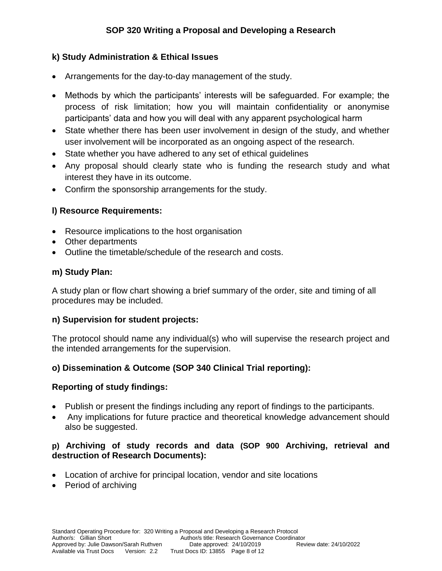## **k) Study Administration & Ethical Issues**

- Arrangements for the day-to-day management of the study.
- Methods by which the participants' interests will be safeguarded. For example; the process of risk limitation; how you will maintain confidentiality or anonymise participants' data and how you will deal with any apparent psychological harm
- State whether there has been user involvement in design of the study, and whether user involvement will be incorporated as an ongoing aspect of the research.
- State whether you have adhered to any set of ethical quidelines
- Any proposal should clearly state who is funding the research study and what interest they have in its outcome.
- Confirm the sponsorship arrangements for the study.

# **l) Resource Requirements:**

- Resource implications to the host organisation
- Other departments
- Outline the timetable/schedule of the research and costs.

## **m) Study Plan:**

A study plan or flow chart showing a brief summary of the order, site and timing of all procedures may be included.

## **n) Supervision for student projects:**

The protocol should name any individual(s) who will supervise the research project and the intended arrangements for the supervision.

## **o) Dissemination & Outcome (SOP 340 Clinical Trial reporting):**

## **Reporting of study findings:**

- Publish or present the findings including any report of findings to the participants.
- Any implications for future practice and theoretical knowledge advancement should also be suggested.

## **p) Archiving of study records and data (SOP 900 Archiving, retrieval and destruction of Research Documents):**

- Location of archive for principal location, vendor and site locations
- Period of archiving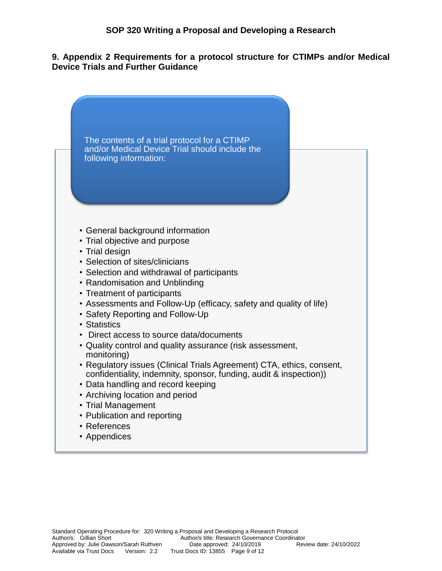#### **9. Appendix 2 Requirements for a protocol structure for CTIMPs and/or Medical Device Trials and Further Guidance**

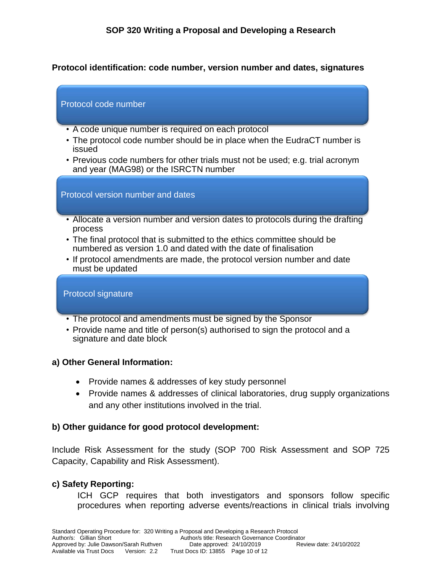### **Protocol identification: code number, version number and dates, signatures**

#### Protocol code number

- A code unique number is required on each protocol
- The protocol code number should be in place when the EudraCT number is issued
- Previous code numbers for other trials must not be used; e.g. trial acronym and year (MAG98) or the ISRCTN number

#### Protocol version number and dates

- Allocate a version number and version dates to protocols during the drafting process
- The final protocol that is submitted to the ethics committee should be numbered as version 1.0 and dated with the date of finalisation
- If protocol amendments are made, the protocol version number and date must be updated

#### Protocol signature

- The protocol and amendments must be signed by the Sponsor
- Provide name and title of person(s) authorised to sign the protocol and a signature and date block

#### **a) Other General Information:**

- Provide names & addresses of key study personnel
- Provide names & addresses of clinical laboratories, drug supply organizations and any other institutions involved in the trial.

#### **b) Other guidance for good protocol development:**

Include Risk Assessment for the study (SOP 700 Risk Assessment and SOP 725 Capacity, Capability and Risk Assessment).

#### **c) Safety Reporting:**

ICH GCP requires that both investigators and sponsors follow specific procedures when reporting adverse events/reactions in clinical trials involving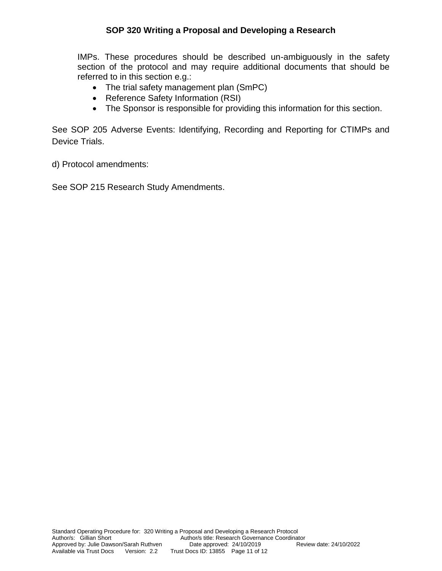### **SOP 320 Writing a Proposal and Developing a Research**

IMPs. These procedures should be described un-ambiguously in the safety section of the protocol and may require additional documents that should be referred to in this section e.g.:

- The trial safety management plan (SmPC)
- Reference Safety Information (RSI)
- The Sponsor is responsible for providing this information for this section.

See SOP 205 Adverse Events: Identifying, Recording and Reporting for CTIMPs and Device Trials.

d) Protocol amendments:

See SOP 215 Research Study Amendments.